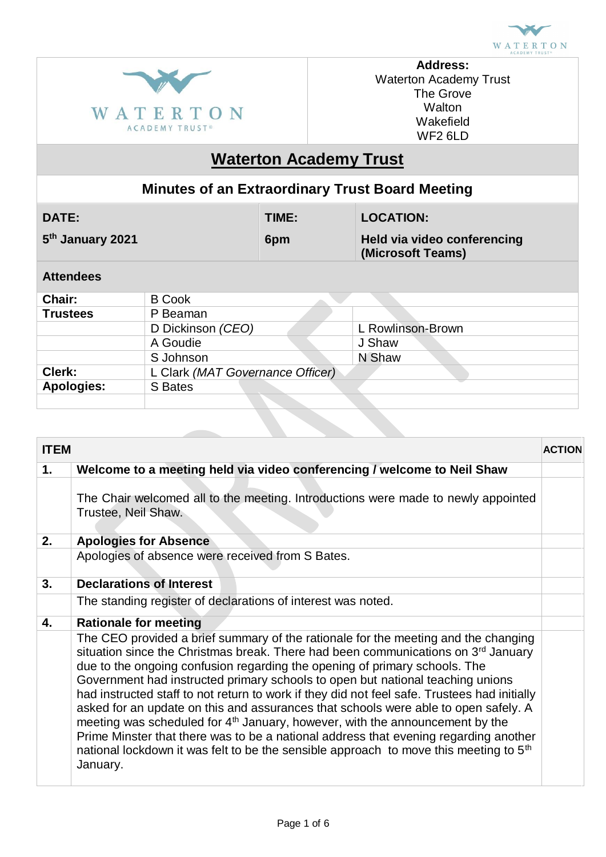



**Address:** Waterton Academy Trust The Grove **Walton** Wakefield WF2 6LD

# **Waterton Academy Trust**

### **Minutes of an Extraordinary Trust Board Meeting**

| 5 <sup>th</sup> January 2021<br>Held via video conferencing<br>6pm<br>(Microsoft Teams) | <b>DATE:</b> | TIME: | <b>LOCATION:</b> |
|-----------------------------------------------------------------------------------------|--------------|-------|------------------|
|                                                                                         |              |       |                  |

### **Attendees**

| Chair:            | <b>B</b> Cook                    |                   |
|-------------------|----------------------------------|-------------------|
| <b>Trustees</b>   | P Beaman                         |                   |
|                   | D Dickinson (CEO)                | L Rowlinson-Brown |
|                   | A Goudie                         | J Shaw            |
|                   | S Johnson                        | N Shaw            |
| Clerk:            | L Clark (MAT Governance Officer) |                   |
| <b>Apologies:</b> | S Bates                          |                   |
|                   |                                  |                   |

| <b>ITEM</b> |                                                                                                                                                                                                                                                                                                                                                                                                                                                                                                                                                                                                                                                                                                                                                                                                                                                 | <b>ACTION</b> |
|-------------|-------------------------------------------------------------------------------------------------------------------------------------------------------------------------------------------------------------------------------------------------------------------------------------------------------------------------------------------------------------------------------------------------------------------------------------------------------------------------------------------------------------------------------------------------------------------------------------------------------------------------------------------------------------------------------------------------------------------------------------------------------------------------------------------------------------------------------------------------|---------------|
| 1.          | Welcome to a meeting held via video conferencing / welcome to Neil Shaw                                                                                                                                                                                                                                                                                                                                                                                                                                                                                                                                                                                                                                                                                                                                                                         |               |
|             | The Chair welcomed all to the meeting. Introductions were made to newly appointed<br>Trustee, Neil Shaw.                                                                                                                                                                                                                                                                                                                                                                                                                                                                                                                                                                                                                                                                                                                                        |               |
| 2.          | <b>Apologies for Absence</b>                                                                                                                                                                                                                                                                                                                                                                                                                                                                                                                                                                                                                                                                                                                                                                                                                    |               |
|             | Apologies of absence were received from S Bates.                                                                                                                                                                                                                                                                                                                                                                                                                                                                                                                                                                                                                                                                                                                                                                                                |               |
| 3.          | <b>Declarations of Interest</b>                                                                                                                                                                                                                                                                                                                                                                                                                                                                                                                                                                                                                                                                                                                                                                                                                 |               |
|             | The standing register of declarations of interest was noted.                                                                                                                                                                                                                                                                                                                                                                                                                                                                                                                                                                                                                                                                                                                                                                                    |               |
| 4.          | <b>Rationale for meeting</b>                                                                                                                                                                                                                                                                                                                                                                                                                                                                                                                                                                                                                                                                                                                                                                                                                    |               |
|             | The CEO provided a brief summary of the rationale for the meeting and the changing<br>situation since the Christmas break. There had been communications on 3 <sup>rd</sup> January<br>due to the ongoing confusion regarding the opening of primary schools. The<br>Government had instructed primary schools to open but national teaching unions<br>had instructed staff to not return to work if they did not feel safe. Trustees had initially<br>asked for an update on this and assurances that schools were able to open safely. A<br>meeting was scheduled for 4 <sup>th</sup> January, however, with the announcement by the<br>Prime Minster that there was to be a national address that evening regarding another<br>national lockdown it was felt to be the sensible approach to move this meeting to 5 <sup>th</sup><br>January. |               |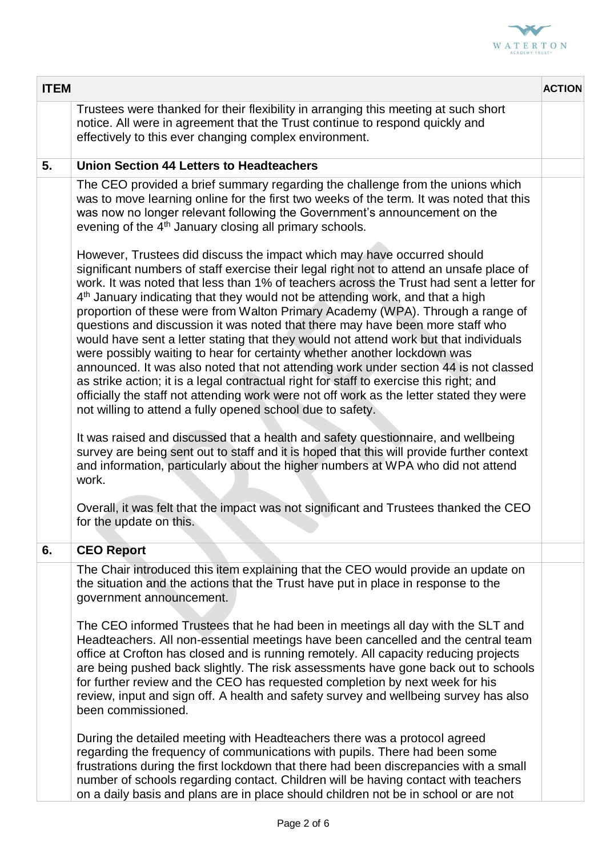

| <b>ITEM</b> |                                                                                                                                                                                                                                                                                                                                                                                                                                                                                                                                                                                                                                                                                                                                                                                                                                                                                                                                                                                                                                                                                                                                                                                                                                    | <b>ACTION</b> |
|-------------|------------------------------------------------------------------------------------------------------------------------------------------------------------------------------------------------------------------------------------------------------------------------------------------------------------------------------------------------------------------------------------------------------------------------------------------------------------------------------------------------------------------------------------------------------------------------------------------------------------------------------------------------------------------------------------------------------------------------------------------------------------------------------------------------------------------------------------------------------------------------------------------------------------------------------------------------------------------------------------------------------------------------------------------------------------------------------------------------------------------------------------------------------------------------------------------------------------------------------------|---------------|
|             | Trustees were thanked for their flexibility in arranging this meeting at such short<br>notice. All were in agreement that the Trust continue to respond quickly and<br>effectively to this ever changing complex environment.                                                                                                                                                                                                                                                                                                                                                                                                                                                                                                                                                                                                                                                                                                                                                                                                                                                                                                                                                                                                      |               |
| 5.          | <b>Union Section 44 Letters to Headteachers</b>                                                                                                                                                                                                                                                                                                                                                                                                                                                                                                                                                                                                                                                                                                                                                                                                                                                                                                                                                                                                                                                                                                                                                                                    |               |
|             | The CEO provided a brief summary regarding the challenge from the unions which<br>was to move learning online for the first two weeks of the term. It was noted that this<br>was now no longer relevant following the Government's announcement on the<br>evening of the 4 <sup>th</sup> January closing all primary schools.                                                                                                                                                                                                                                                                                                                                                                                                                                                                                                                                                                                                                                                                                                                                                                                                                                                                                                      |               |
|             | However, Trustees did discuss the impact which may have occurred should<br>significant numbers of staff exercise their legal right not to attend an unsafe place of<br>work. It was noted that less than 1% of teachers across the Trust had sent a letter for<br>4 <sup>th</sup> January indicating that they would not be attending work, and that a high<br>proportion of these were from Walton Primary Academy (WPA). Through a range of<br>questions and discussion it was noted that there may have been more staff who<br>would have sent a letter stating that they would not attend work but that individuals<br>were possibly waiting to hear for certainty whether another lockdown was<br>announced. It was also noted that not attending work under section 44 is not classed<br>as strike action; it is a legal contractual right for staff to exercise this right; and<br>officially the staff not attending work were not off work as the letter stated they were<br>not willing to attend a fully opened school due to safety.<br>It was raised and discussed that a health and safety questionnaire, and wellbeing<br>survey are being sent out to staff and it is hoped that this will provide further context |               |
|             | and information, particularly about the higher numbers at WPA who did not attend<br>work.<br>Overall, it was felt that the impact was not significant and Trustees thanked the CEO<br>for the update on this.                                                                                                                                                                                                                                                                                                                                                                                                                                                                                                                                                                                                                                                                                                                                                                                                                                                                                                                                                                                                                      |               |
| 6.          | <b>CEO Report</b>                                                                                                                                                                                                                                                                                                                                                                                                                                                                                                                                                                                                                                                                                                                                                                                                                                                                                                                                                                                                                                                                                                                                                                                                                  |               |
|             | The Chair introduced this item explaining that the CEO would provide an update on<br>the situation and the actions that the Trust have put in place in response to the<br>government announcement.<br>The CEO informed Trustees that he had been in meetings all day with the SLT and<br>Headteachers. All non-essential meetings have been cancelled and the central team<br>office at Crofton has closed and is running remotely. All capacity reducing projects<br>are being pushed back slightly. The risk assessments have gone back out to schools<br>for further review and the CEO has requested completion by next week for his<br>review, input and sign off. A health and safety survey and wellbeing survey has also<br>been commissioned.<br>During the detailed meeting with Headteachers there was a protocol agreed<br>regarding the frequency of communications with pupils. There had been some                                                                                                                                                                                                                                                                                                                  |               |
|             | frustrations during the first lockdown that there had been discrepancies with a small<br>number of schools regarding contact. Children will be having contact with teachers<br>on a daily basis and plans are in place should children not be in school or are not                                                                                                                                                                                                                                                                                                                                                                                                                                                                                                                                                                                                                                                                                                                                                                                                                                                                                                                                                                 |               |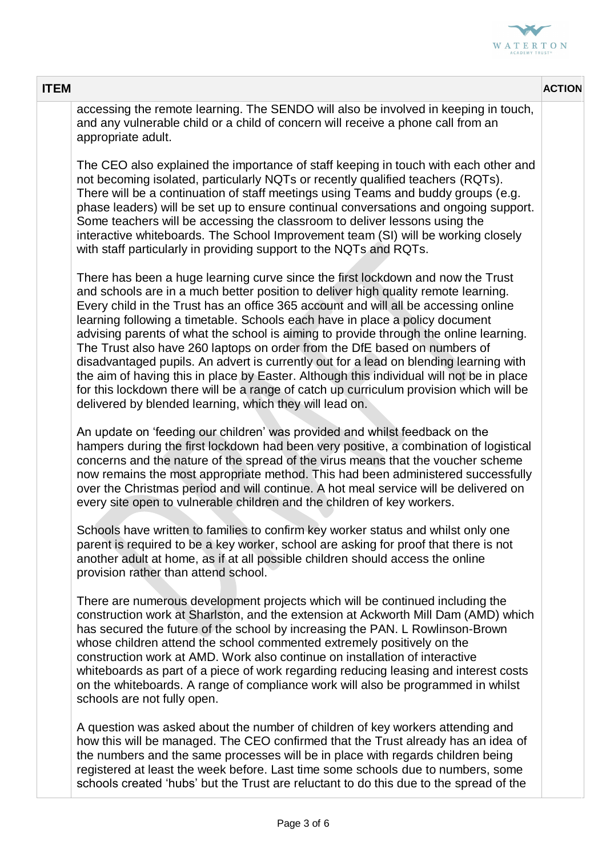

| <b>ITEM</b>                                                                                                                                                                                                                                                                                                                                                                                                                                                                                                                                                                                                                                                                                                                                                                                                                                                  | <b>ACTION</b> |
|--------------------------------------------------------------------------------------------------------------------------------------------------------------------------------------------------------------------------------------------------------------------------------------------------------------------------------------------------------------------------------------------------------------------------------------------------------------------------------------------------------------------------------------------------------------------------------------------------------------------------------------------------------------------------------------------------------------------------------------------------------------------------------------------------------------------------------------------------------------|---------------|
| accessing the remote learning. The SENDO will also be involved in keeping in touch,<br>and any vulnerable child or a child of concern will receive a phone call from an<br>appropriate adult.                                                                                                                                                                                                                                                                                                                                                                                                                                                                                                                                                                                                                                                                |               |
| The CEO also explained the importance of staff keeping in touch with each other and<br>not becoming isolated, particularly NQTs or recently qualified teachers (RQTs).<br>There will be a continuation of staff meetings using Teams and buddy groups (e.g.<br>phase leaders) will be set up to ensure continual conversations and ongoing support.<br>Some teachers will be accessing the classroom to deliver lessons using the<br>interactive whiteboards. The School Improvement team (SI) will be working closely<br>with staff particularly in providing support to the NQTs and RQTs.                                                                                                                                                                                                                                                                 |               |
| There has been a huge learning curve since the first lockdown and now the Trust<br>and schools are in a much better position to deliver high quality remote learning.<br>Every child in the Trust has an office 365 account and will all be accessing online<br>learning following a timetable. Schools each have in place a policy document<br>advising parents of what the school is aiming to provide through the online learning.<br>The Trust also have 260 laptops on order from the DfE based on numbers of<br>disadvantaged pupils. An advert is currently out for a lead on blending learning with<br>the aim of having this in place by Easter. Although this individual will not be in place<br>for this lockdown there will be a range of catch up curriculum provision which will be<br>delivered by blended learning, which they will lead on. |               |
| An update on 'feeding our children' was provided and whilst feedback on the<br>hampers during the first lockdown had been very positive, a combination of logistical<br>concerns and the nature of the spread of the virus means that the voucher scheme<br>now remains the most appropriate method. This had been administered successfully<br>over the Christmas period and will continue. A hot meal service will be delivered on<br>every site open to vulnerable children and the children of key workers.                                                                                                                                                                                                                                                                                                                                              |               |
| Schools have written to families to confirm key worker status and whilst only one<br>parent is required to be a key worker, school are asking for proof that there is not<br>another adult at home, as if at all possible children should access the online<br>provision rather than attend school.                                                                                                                                                                                                                                                                                                                                                                                                                                                                                                                                                          |               |
| There are numerous development projects which will be continued including the<br>construction work at Sharlston, and the extension at Ackworth Mill Dam (AMD) which<br>has secured the future of the school by increasing the PAN. L Rowlinson-Brown<br>whose children attend the school commented extremely positively on the<br>construction work at AMD. Work also continue on installation of interactive<br>whiteboards as part of a piece of work regarding reducing leasing and interest costs<br>on the whiteboards. A range of compliance work will also be programmed in whilst<br>schools are not fully open.                                                                                                                                                                                                                                     |               |
| A question was asked about the number of children of key workers attending and<br>how this will be managed. The CEO confirmed that the Trust already has an idea of<br>the numbers and the same processes will be in place with regards children being<br>registered at least the week before. Last time some schools due to numbers, some<br>schools created 'hubs' but the Trust are reluctant to do this due to the spread of the                                                                                                                                                                                                                                                                                                                                                                                                                         |               |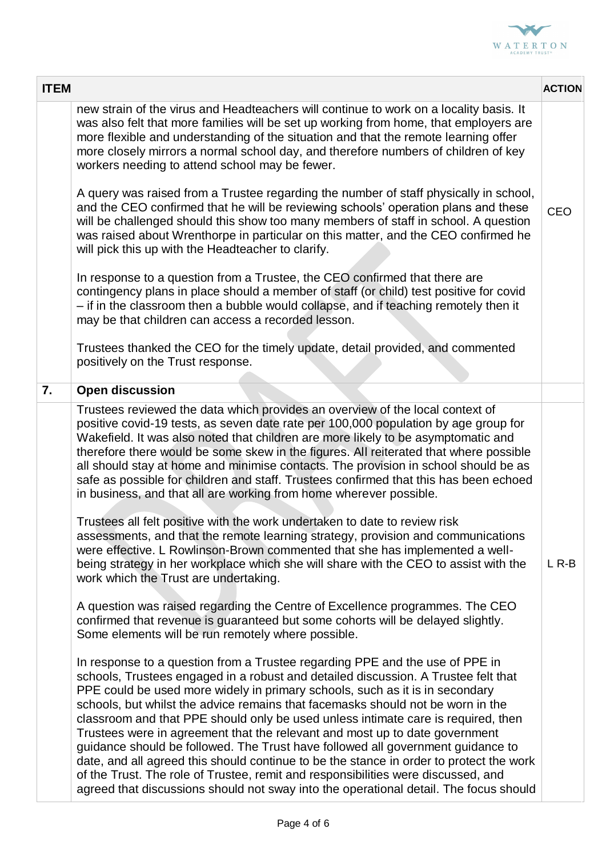

| <b>ITEM</b> |                                                                                                                                                                                                                                                                                                                                                                                                                                                                                                                                                                                                                                                                                                                                                                                                                                                                       | <b>ACTION</b> |
|-------------|-----------------------------------------------------------------------------------------------------------------------------------------------------------------------------------------------------------------------------------------------------------------------------------------------------------------------------------------------------------------------------------------------------------------------------------------------------------------------------------------------------------------------------------------------------------------------------------------------------------------------------------------------------------------------------------------------------------------------------------------------------------------------------------------------------------------------------------------------------------------------|---------------|
|             | new strain of the virus and Headteachers will continue to work on a locality basis. It<br>was also felt that more families will be set up working from home, that employers are<br>more flexible and understanding of the situation and that the remote learning offer<br>more closely mirrors a normal school day, and therefore numbers of children of key<br>workers needing to attend school may be fewer.                                                                                                                                                                                                                                                                                                                                                                                                                                                        |               |
|             | A query was raised from a Trustee regarding the number of staff physically in school,<br>and the CEO confirmed that he will be reviewing schools' operation plans and these<br>will be challenged should this show too many members of staff in school. A question<br>was raised about Wrenthorpe in particular on this matter, and the CEO confirmed he<br>will pick this up with the Headteacher to clarify.                                                                                                                                                                                                                                                                                                                                                                                                                                                        | <b>CEO</b>    |
|             | In response to a question from a Trustee, the CEO confirmed that there are<br>contingency plans in place should a member of staff (or child) test positive for covid<br>- if in the classroom then a bubble would collapse, and if teaching remotely then it<br>may be that children can access a recorded lesson.                                                                                                                                                                                                                                                                                                                                                                                                                                                                                                                                                    |               |
|             | Trustees thanked the CEO for the timely update, detail provided, and commented<br>positively on the Trust response.                                                                                                                                                                                                                                                                                                                                                                                                                                                                                                                                                                                                                                                                                                                                                   |               |
| 7.          | <b>Open discussion</b>                                                                                                                                                                                                                                                                                                                                                                                                                                                                                                                                                                                                                                                                                                                                                                                                                                                |               |
|             | Trustees reviewed the data which provides an overview of the local context of<br>positive covid-19 tests, as seven date rate per 100,000 population by age group for<br>Wakefield. It was also noted that children are more likely to be asymptomatic and<br>therefore there would be some skew in the figures. All reiterated that where possible<br>all should stay at home and minimise contacts. The provision in school should be as<br>safe as possible for children and staff. Trustees confirmed that this has been echoed<br>in business, and that all are working from home wherever possible.                                                                                                                                                                                                                                                              |               |
|             | Trustees all felt positive with the work undertaken to date to review risk<br>assessments, and that the remote learning strategy, provision and communications<br>were effective. L Rowlinson-Brown commented that she has implemented a well-<br>being strategy in her workplace which she will share with the CEO to assist with the<br>work which the Trust are undertaking.                                                                                                                                                                                                                                                                                                                                                                                                                                                                                       | $LR - B$      |
|             | A question was raised regarding the Centre of Excellence programmes. The CEO<br>confirmed that revenue is guaranteed but some cohorts will be delayed slightly.<br>Some elements will be run remotely where possible.                                                                                                                                                                                                                                                                                                                                                                                                                                                                                                                                                                                                                                                 |               |
|             | In response to a question from a Trustee regarding PPE and the use of PPE in<br>schools, Trustees engaged in a robust and detailed discussion. A Trustee felt that<br>PPE could be used more widely in primary schools, such as it is in secondary<br>schools, but whilst the advice remains that facemasks should not be worn in the<br>classroom and that PPE should only be used unless intimate care is required, then<br>Trustees were in agreement that the relevant and most up to date government<br>guidance should be followed. The Trust have followed all government guidance to<br>date, and all agreed this should continue to be the stance in order to protect the work<br>of the Trust. The role of Trustee, remit and responsibilities were discussed, and<br>agreed that discussions should not sway into the operational detail. The focus should |               |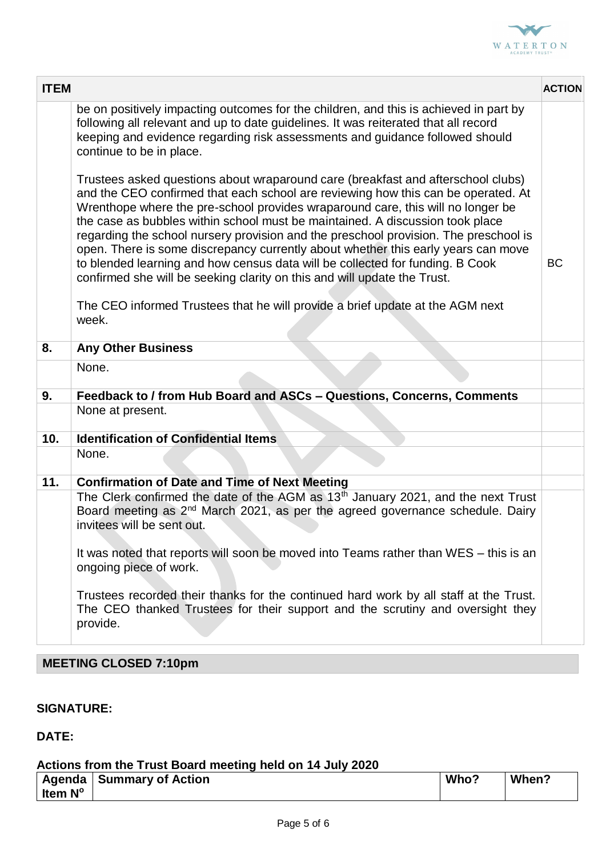

| <b>ITEM</b> |                                                                                                                                                                                                                                                                                                                                                                                                                                                                                                                                                                                                                                                                                     | <b>ACTION</b> |
|-------------|-------------------------------------------------------------------------------------------------------------------------------------------------------------------------------------------------------------------------------------------------------------------------------------------------------------------------------------------------------------------------------------------------------------------------------------------------------------------------------------------------------------------------------------------------------------------------------------------------------------------------------------------------------------------------------------|---------------|
|             | be on positively impacting outcomes for the children, and this is achieved in part by<br>following all relevant and up to date guidelines. It was reiterated that all record<br>keeping and evidence regarding risk assessments and guidance followed should<br>continue to be in place.                                                                                                                                                                                                                                                                                                                                                                                            |               |
|             | Trustees asked questions about wraparound care (breakfast and afterschool clubs)<br>and the CEO confirmed that each school are reviewing how this can be operated. At<br>Wrenthope where the pre-school provides wraparound care, this will no longer be<br>the case as bubbles within school must be maintained. A discussion took place<br>regarding the school nursery provision and the preschool provision. The preschool is<br>open. There is some discrepancy currently about whether this early years can move<br>to blended learning and how census data will be collected for funding. B Cook<br>confirmed she will be seeking clarity on this and will update the Trust. | <b>BC</b>     |
|             | The CEO informed Trustees that he will provide a brief update at the AGM next<br>week.                                                                                                                                                                                                                                                                                                                                                                                                                                                                                                                                                                                              |               |
| 8.          | <b>Any Other Business</b>                                                                                                                                                                                                                                                                                                                                                                                                                                                                                                                                                                                                                                                           |               |
|             | None.                                                                                                                                                                                                                                                                                                                                                                                                                                                                                                                                                                                                                                                                               |               |
| 9.          | Feedback to / from Hub Board and ASCs - Questions, Concerns, Comments                                                                                                                                                                                                                                                                                                                                                                                                                                                                                                                                                                                                               |               |
|             | None at present.                                                                                                                                                                                                                                                                                                                                                                                                                                                                                                                                                                                                                                                                    |               |
| 10.         | <b>Identification of Confidential Items</b>                                                                                                                                                                                                                                                                                                                                                                                                                                                                                                                                                                                                                                         |               |
|             | None.                                                                                                                                                                                                                                                                                                                                                                                                                                                                                                                                                                                                                                                                               |               |
| 11.         | <b>Confirmation of Date and Time of Next Meeting</b>                                                                                                                                                                                                                                                                                                                                                                                                                                                                                                                                                                                                                                |               |
|             | The Clerk confirmed the date of the AGM as 13 <sup>th</sup> January 2021, and the next Trust<br>Board meeting as 2 <sup>nd</sup> March 2021, as per the agreed governance schedule. Dairy<br>invitees will be sent out.                                                                                                                                                                                                                                                                                                                                                                                                                                                             |               |
|             | It was noted that reports will soon be moved into Teams rather than WES – this is an<br>ongoing piece of work.                                                                                                                                                                                                                                                                                                                                                                                                                                                                                                                                                                      |               |
|             | Trustees recorded their thanks for the continued hard work by all staff at the Trust.<br>The CEO thanked Trustees for their support and the scrutiny and oversight they<br>provide.                                                                                                                                                                                                                                                                                                                                                                                                                                                                                                 |               |

## **MEETING CLOSED 7:10pm**

### **SIGNATURE:**

### **DATE:**

#### **Actions from the Trust Board meeting held on 14 July 2020**

|                | Agenda   Summary of Action | Who? | When? |
|----------------|----------------------------|------|-------|
| <b>Item N°</b> |                            |      |       |